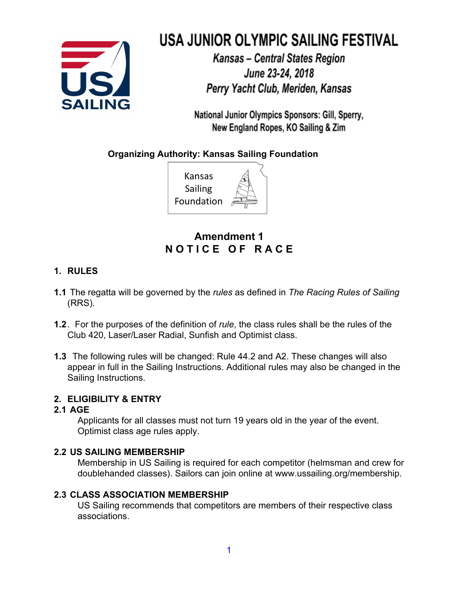

# USA JUNIOR OLYMPIC SAILING FESTIVAL

Kansas - Central States Region June 23-24, 2018 Perry Yacht Club, Meriden, Kansas

National Junior Olympics Sponsors: Gill, Sperry, New England Ropes, KO Sailing & Zim

**Organizing Authority: Kansas Sailing Foundation**



# **Amendment 1 N O T I C E O F R A C E**

# **1. RULES**

- **1.1** The regatta will be governed by the *rules* as defined in *The Racing Rules of Sailing* (RRS).
- **1.2**. For the purposes of the definition of *rule*, the class rules shall be the rules of the Club 420, Laser/Laser Radial, Sunfish and Optimist class.
- **1.3** The following rules will be changed: Rule 44.2 and A2. These changes will also appear in full in the Sailing Instructions. Additional rules may also be changed in the Sailing Instructions.

# **2. ELIGIBILITY & ENTRY**

## **2.1 AGE**

Applicants for all classes must not turn 19 years old in the year of the event. Optimist class age rules apply.

## **2.2 US SAILING MEMBERSHIP**

Membership in US Sailing is required for each competitor (helmsman and crew for doublehanded classes). Sailors can join online at www.ussailing.org/membership.

# **2.3 CLASS ASSOCIATION MEMBERSHIP**

US Sailing recommends that competitors are members of their respective class associations.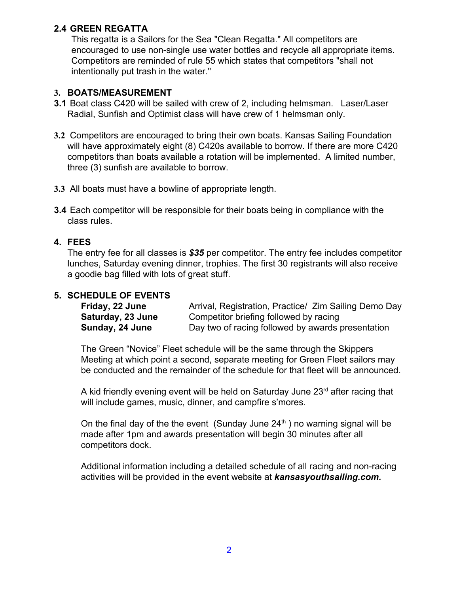## **2.4 GREEN REGATTA**

This regatta is a Sailors for the Sea "Clean Regatta." All competitors are encouraged to use non-single use water bottles and recycle all appropriate items. Competitors are reminded of rule 55 which states that competitors "shall not intentionally put trash in the water."

#### **3. BOATS/MEASUREMENT**

- **3.1** Boat class C420 will be sailed with crew of 2, including helmsman. Laser/Laser Radial, Sunfish and Optimist class will have crew of 1 helmsman only.
- **3.2** Competitors are encouraged to bring their own boats. Kansas Sailing Foundation will have approximately eight (8) C420s available to borrow. If there are more C420 competitors than boats available a rotation will be implemented. A limited number, three (3) sunfish are available to borrow.
- **3.3** All boats must have a bowline of appropriate length.
- **3.4** Each competitor will be responsible for their boats being in compliance with the class rules.

## **4. FEES**

The entry fee for all classes is *\$35* per competitor. The entry fee includes competitor lunches, Saturday evening dinner, trophies. The first 30 registrants will also receive a goodie bag filled with lots of great stuff.

## **5. SCHEDULE OF EVENTS**

| Friday, 22 June   | Arrival, Registration, Practice/ Zim Sailing Demo Day |
|-------------------|-------------------------------------------------------|
| Saturday, 23 June | Competitor briefing followed by racing                |
| Sunday, 24 June   | Day two of racing followed by awards presentation     |

The Green "Novice" Fleet schedule will be the same through the Skippers Meeting at which point a second, separate meeting for Green Fleet sailors may be conducted and the remainder of the schedule for that fleet will be announced.

A kid friendly evening event will be held on Saturday June 23<sup>rd</sup> after racing that will include games, music, dinner, and campfire s'mores.

On the final day of the the event (Sunday June  $24<sup>th</sup>$ ) no warning signal will be made after 1pm and awards presentation will begin 30 minutes after all competitors dock.

Additional information including a detailed schedule of all racing and non-racing activities will be provided in the event website at *kansasyouthsailing.com.*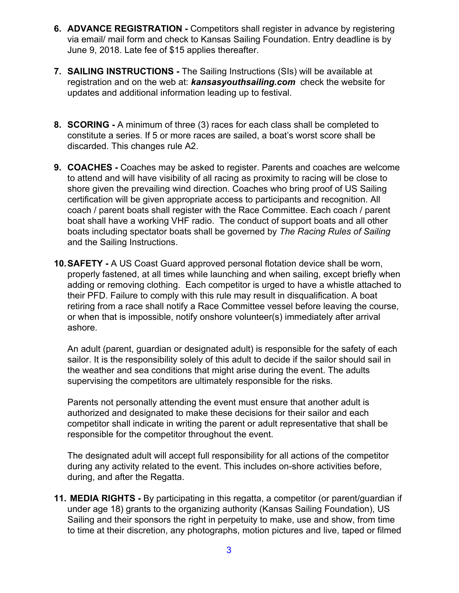- **6. ADVANCE REGISTRATION** Competitors shall register in advance by registering via email/ mail form and check to Kansas Sailing Foundation. Entry deadline is by June 9, 2018. Late fee of \$15 applies thereafter.
- **7. SAILING INSTRUCTIONS** The Sailing Instructions (SIs) will be available at registration and on the web at: *kansasyouthsailing.com* check the website for updates and additional information leading up to festival.
- **8. SCORING** A minimum of three (3) races for each class shall be completed to constitute a series. If 5 or more races are sailed, a boat's worst score shall be discarded. This changes rule A2.
- **9. COACHES** Coaches may be asked to register. Parents and coaches are welcome to attend and will have visibility of all racing as proximity to racing will be close to shore given the prevailing wind direction. Coaches who bring proof of US Sailing certification will be given appropriate access to participants and recognition. All coach / parent boats shall register with the Race Committee. Each coach / parent boat shall have a working VHF radio. The conduct of support boats and all other boats including spectator boats shall be governed by *The Racing Rules of Sailing* and the Sailing Instructions.
- **10.SAFETY -** A US Coast Guard approved personal flotation device shall be worn, properly fastened, at all times while launching and when sailing, except briefly when adding or removing clothing. Each competitor is urged to have a whistle attached to their PFD. Failure to comply with this rule may result in disqualification. A boat retiring from a race shall notify a Race Committee vessel before leaving the course, or when that is impossible, notify onshore volunteer(s) immediately after arrival ashore.

An adult (parent, guardian or designated adult) is responsible for the safety of each sailor. It is the responsibility solely of this adult to decide if the sailor should sail in the weather and sea conditions that might arise during the event. The adults supervising the competitors are ultimately responsible for the risks.

Parents not personally attending the event must ensure that another adult is authorized and designated to make these decisions for their sailor and each competitor shall indicate in writing the parent or adult representative that shall be responsible for the competitor throughout the event.

The designated adult will accept full responsibility for all actions of the competitor during any activity related to the event. This includes on-shore activities before, during, and after the Regatta.

**11. MEDIA RIGHTS -** By participating in this regatta, a competitor (or parent/guardian if under age 18) grants to the organizing authority (Kansas Sailing Foundation), US Sailing and their sponsors the right in perpetuity to make, use and show, from time to time at their discretion, any photographs, motion pictures and live, taped or filmed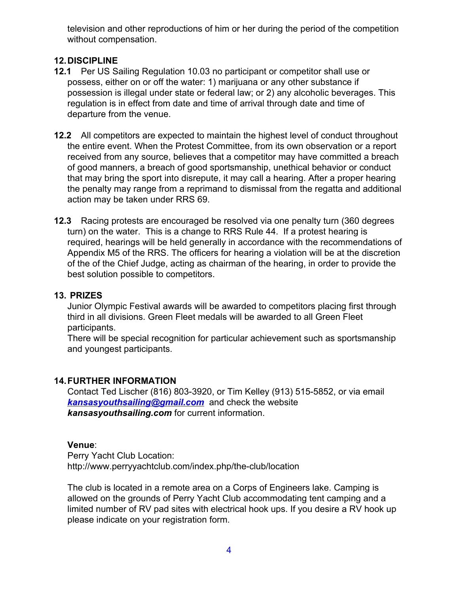television and other reproductions of him or her during the period of the competition without compensation.

## **12.DISCIPLINE**

- **12.1** Per US Sailing Regulation 10.03 no participant or competitor shall use or possess, either on or off the water: 1) marijuana or any other substance if possession is illegal under state or federal law; or 2) any alcoholic beverages. This regulation is in effect from date and time of arrival through date and time of departure from the venue.
- **12.2** All competitors are expected to maintain the highest level of conduct throughout the entire event. When the Protest Committee, from its own observation or a report received from any source, believes that a competitor may have committed a breach of good manners, a breach of good sportsmanship, unethical behavior or conduct that may bring the sport into disrepute, it may call a hearing. After a proper hearing the penalty may range from a reprimand to dismissal from the regatta and additional action may be taken under RRS 69.
- **12.3** Racing protests are encouraged be resolved via one penalty turn (360 degrees turn) on the water. This is a change to RRS Rule 44. If a protest hearing is required, hearings will be held generally in accordance with the recommendations of Appendix M5 of the RRS. The officers for hearing a violation will be at the discretion of the of the Chief Judge, acting as chairman of the hearing, in order to provide the best solution possible to competitors.

#### **13. PRIZES**

Junior Olympic Festival awards will be awarded to competitors placing first through third in all divisions. Green Fleet medals will be awarded to all Green Fleet participants.

There will be special recognition for particular achievement such as sportsmanship and youngest participants.

## **14.FURTHER INFORMATION**

Contact Ted Lischer (816) 803-3920, or Tim Kelley (913) 515-5852, or via email *[kansasyouthsailing@gmail.com](mailto:kansasyouthsailing@gmail.com)* and check the website *kansasyouthsailing.com* for current information.

#### **Venue**:

Perry Yacht Club Location: http://www.perryyachtclub.com/index.php/the-club/location

The club is located in a remote area on a Corps of Engineers lake. Camping is allowed on the grounds of Perry Yacht Club accommodating tent camping and a limited number of RV pad sites with electrical hook ups. If you desire a RV hook up please indicate on your registration form.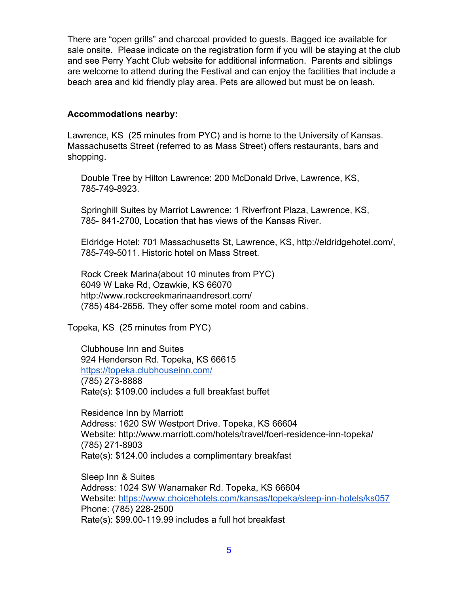There are "open grills" and charcoal provided to guests. Bagged ice available for sale onsite. Please indicate on the registration form if you will be staying at the club and see Perry Yacht Club website for additional information. Parents and siblings are welcome to attend during the Festival and can enjoy the facilities that include a beach area and kid friendly play area. Pets are allowed but must be on leash.

#### **Accommodations nearby:**

Lawrence, KS (25 minutes from PYC) and is home to the University of Kansas. Massachusetts Street (referred to as Mass Street) offers restaurants, bars and shopping.

Double Tree by Hilton Lawrence: 200 McDonald Drive, Lawrence, KS, 785-749-8923.

Springhill Suites by Marriot Lawrence: 1 Riverfront Plaza, Lawrence, KS, 785- 841-2700, Location that has views of the Kansas River.

Eldridge Hotel: 701 Massachusetts St, Lawrence, KS, http://eldridgehotel.com/, 785-749-5011. Historic hotel on Mass Street.

Rock Creek Marina(about 10 minutes from PYC) 6049 W Lake Rd, Ozawkie, KS 66070 http://www.rockcreekmarinaandresort.com/ (785) 484-2656. They offer some motel room and cabins.

Topeka, KS (25 minutes from PYC)

Clubhouse Inn and Suites 924 Henderson Rd. Topeka, KS 66615 <https://topeka.clubhouseinn.com/> (785) 273-8888 Rate(s): \$109.00 includes a full breakfast buffet

Residence Inn by Marriott Address: 1620 SW Westport Drive. Topeka, KS 66604 Website: http://www.marriott.com/hotels/travel/foeri-residence-inn-topeka/ (785) 271-8903 Rate(s): \$124.00 includes a complimentary breakfast

Sleep Inn & Suites Address: 1024 SW Wanamaker Rd. Topeka, KS 66604 Website: <https://www.choicehotels.com/kansas/topeka/sleep-inn-hotels/ks057> Phone: (785) 228-2500 Rate(s): \$99.00-119.99 includes a full hot breakfast